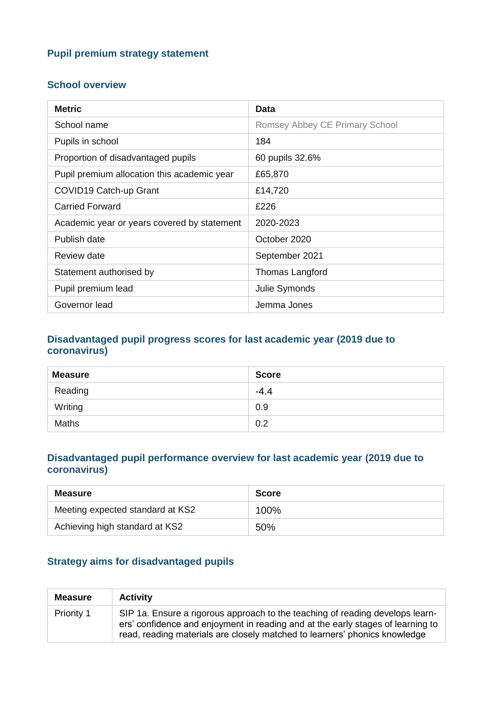## **Pupil premium strategy statement**

#### **School overview**

| <b>Metric</b>                               | <b>Data</b>                    |
|---------------------------------------------|--------------------------------|
| School name                                 | Romsey Abbey CE Primary School |
| Pupils in school                            | 184                            |
| Proportion of disadvantaged pupils          | 60 pupils 32.6%                |
| Pupil premium allocation this academic year | £65,870                        |
| COVID19 Catch-up Grant                      | £14,720                        |
| <b>Carried Forward</b>                      | £226                           |
| Academic year or years covered by statement | 2020-2023                      |
| Publish date                                | October 2020                   |
| Review date                                 | September 2021                 |
| Statement authorised by                     | <b>Thomas Langford</b>         |
| Pupil premium lead                          | Julie Symonds                  |
| Governor lead                               | Jemma Jones                    |

#### **Disadvantaged pupil progress scores for last academic year (2019 due to coronavirus)**

| <b>Measure</b> | <b>Score</b> |
|----------------|--------------|
| Reading        | $-4.4$       |
| Writing        | 0.9          |
| <b>Maths</b>   | 0.2          |

#### **Disadvantaged pupil performance overview for last academic year (2019 due to coronavirus)**

| <b>Measure</b>                   | <b>Score</b> |
|----------------------------------|--------------|
| Meeting expected standard at KS2 | 100%         |
| Achieving high standard at KS2   | 50%          |

## **Strategy aims for disadvantaged pupils**

| <b>Measure</b> | <b>Activity</b>                                                                                                                                                                                                                                |
|----------------|------------------------------------------------------------------------------------------------------------------------------------------------------------------------------------------------------------------------------------------------|
| Priority 1     | SIP 1a. Ensure a rigorous approach to the teaching of reading develops learn-<br>ers' confidence and enjoyment in reading and at the early stages of learning to<br>read, reading materials are closely matched to learners' phonics knowledge |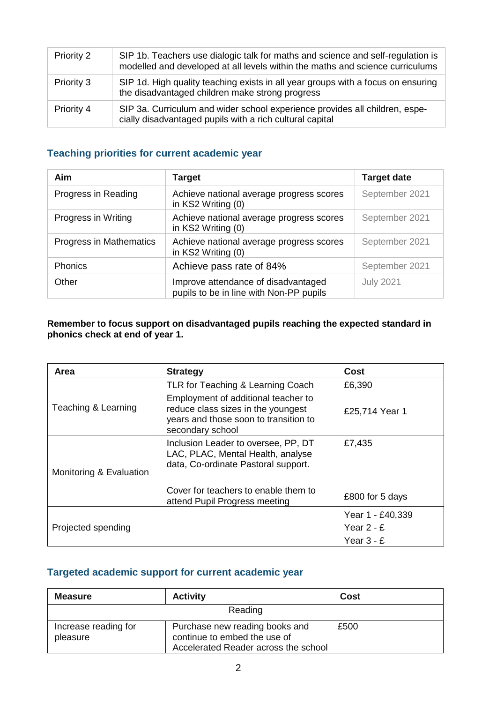| Priority 2 | SIP 1b. Teachers use dialogic talk for maths and science and self-regulation is<br>modelled and developed at all levels within the maths and science curriculums |
|------------|------------------------------------------------------------------------------------------------------------------------------------------------------------------|
| Priority 3 | SIP 1d. High quality teaching exists in all year groups with a focus on ensuring<br>the disadvantaged children make strong progress                              |
| Priority 4 | SIP 3a. Curriculum and wider school experience provides all children, espe-<br>cially disadvantaged pupils with a rich cultural capital                          |

# **Teaching priorities for current academic year**

| Aim                     | <b>Target</b>                                                                  | <b>Target date</b> |
|-------------------------|--------------------------------------------------------------------------------|--------------------|
| Progress in Reading     | Achieve national average progress scores<br>in KS2 Writing (0)                 | September 2021     |
| Progress in Writing     | Achieve national average progress scores<br>in KS2 Writing (0)                 | September 2021     |
| Progress in Mathematics | Achieve national average progress scores<br>in KS2 Writing (0)                 | September 2021     |
| Phonics                 | Achieve pass rate of 84%                                                       | September 2021     |
| Other                   | Improve attendance of disadvantaged<br>pupils to be in line with Non-PP pupils | <b>July 2021</b>   |

#### **Remember to focus support on disadvantaged pupils reaching the expected standard in phonics check at end of year 1.**

| Area                    | <b>Strategy</b>                                                                                                                        | Cost             |
|-------------------------|----------------------------------------------------------------------------------------------------------------------------------------|------------------|
|                         | TLR for Teaching & Learning Coach                                                                                                      | £6,390           |
| Teaching & Learning     | Employment of additional teacher to<br>reduce class sizes in the youngest<br>years and those soon to transition to<br>secondary school | £25,714 Year 1   |
| Monitoring & Evaluation | Inclusion Leader to oversee, PP, DT<br>LAC, PLAC, Mental Health, analyse<br>data, Co-ordinate Pastoral support.                        | £7,435           |
|                         | Cover for teachers to enable them to<br>attend Pupil Progress meeting                                                                  | £800 for 5 days  |
|                         |                                                                                                                                        | Year 1 - £40,339 |
| Projected spending      |                                                                                                                                        | Year $2 - E$     |
|                         |                                                                                                                                        | Year $3 - E$     |

# **Targeted academic support for current academic year**

| <b>Measure</b>                   | <b>Activity</b>                                                                                        | <b>Cost</b> |
|----------------------------------|--------------------------------------------------------------------------------------------------------|-------------|
| Reading                          |                                                                                                        |             |
| Increase reading for<br>pleasure | Purchase new reading books and<br>continue to embed the use of<br>Accelerated Reader across the school | £500        |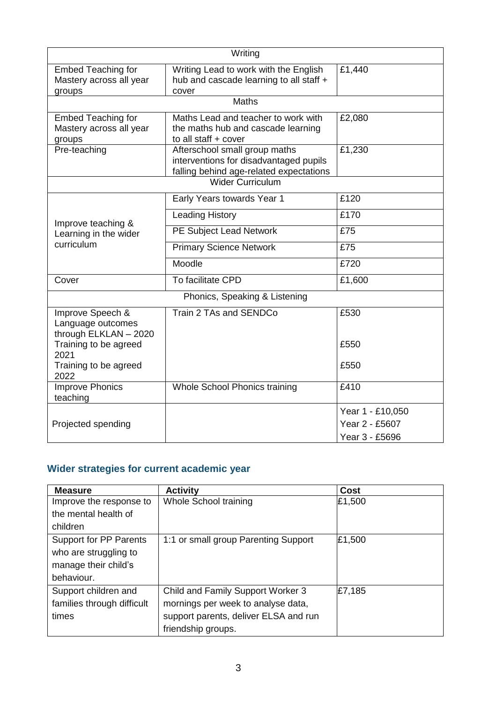| Writing                                                        |                                                                                                                    |                                  |  |
|----------------------------------------------------------------|--------------------------------------------------------------------------------------------------------------------|----------------------------------|--|
| <b>Embed Teaching for</b><br>Mastery across all year<br>groups | Writing Lead to work with the English<br>hub and cascade learning to all staff +<br>cover                          | £1,440                           |  |
|                                                                | <b>Maths</b>                                                                                                       |                                  |  |
| <b>Embed Teaching for</b><br>Mastery across all year<br>groups | Maths Lead and teacher to work with<br>the maths hub and cascade learning<br>to all staff + cover                  | £2,080                           |  |
| Pre-teaching                                                   | Afterschool small group maths<br>interventions for disadvantaged pupils<br>falling behind age-related expectations | £1,230                           |  |
|                                                                | <b>Wider Curriculum</b>                                                                                            |                                  |  |
|                                                                | Early Years towards Year 1                                                                                         | £120                             |  |
| Improve teaching &                                             | <b>Leading History</b>                                                                                             | £170                             |  |
| Learning in the wider                                          | PE Subject Lead Network                                                                                            | £75                              |  |
| curriculum                                                     | <b>Primary Science Network</b>                                                                                     | £75                              |  |
|                                                                | Moodle                                                                                                             | £720                             |  |
| Cover                                                          | To facilitate CPD                                                                                                  | £1,600                           |  |
|                                                                | Phonics, Speaking & Listening                                                                                      |                                  |  |
| Improve Speech &<br>Language outcomes<br>through ELKLAN - 2020 | Train 2 TAs and SENDCo                                                                                             | £530                             |  |
| Training to be agreed<br>2021                                  |                                                                                                                    | £550                             |  |
| Training to be agreed<br>2022                                  |                                                                                                                    | £550                             |  |
| <b>Improve Phonics</b><br>teaching                             | Whole School Phonics training                                                                                      | £410                             |  |
|                                                                |                                                                                                                    | Year 1 - £10,050                 |  |
| Projected spending                                             |                                                                                                                    | Year 2 - £5607<br>Year 3 - £5696 |  |

# **Wider strategies for current academic year**

| <b>Measure</b>             | <b>Activity</b>                       | Cost   |
|----------------------------|---------------------------------------|--------|
| Improve the response to    | Whole School training                 | £1,500 |
| the mental health of       |                                       |        |
| children                   |                                       |        |
| Support for PP Parents     | 1:1 or small group Parenting Support  | £1,500 |
| who are struggling to      |                                       |        |
| manage their child's       |                                       |        |
| behaviour.                 |                                       |        |
| Support children and       | Child and Family Support Worker 3     | £7,185 |
| families through difficult | mornings per week to analyse data,    |        |
| times                      | support parents, deliver ELSA and run |        |
|                            | friendship groups.                    |        |